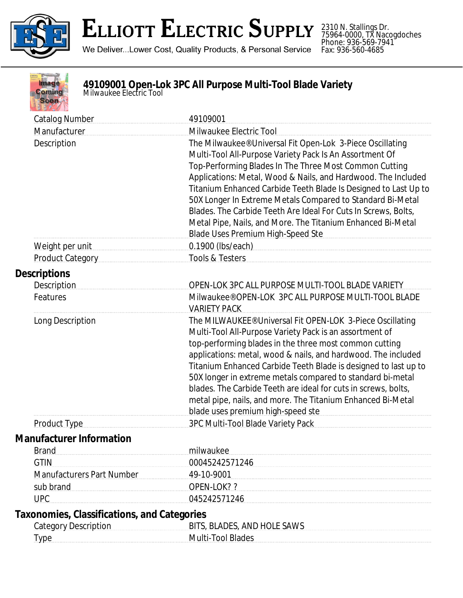

2310 N. Stallings Dr. 75964-0000, TX Nacogdoches Phone: 936-569-7941 Fax: 936-560-4685



**49109001 Open-Lok 3PC All Purpose Multi-Tool Blade Variety** *Milwaukee Electric Tool*

Catalog Number 49109001 Manufacturer Milwaukee Electric Tool Description **The Milwaukee®** Universal Fit Open-Lok 3-Piece Oscillating Description Multi-Tool All-Purpose Variety Pack Is An Assortment Of Top-Performing Blades In The Three Most Common Cutting Applications: Metal, Wood & Nails, and Hardwood. The Included Titanium Enhanced Carbide Teeth Blade Is Designed to Last Up to 50X Longer In Extreme Metals Compared to Standard Bi-Metal Blades. The Carbide Teeth Are Ideal For Cuts In Screws, Bolts, Metal Pipe, Nails, and More. The Titanium Enhanced Bi-Metal Blade Uses Premium High-Speed Ste Weight per unit and the contract of 0.1900 (lbs/each) and the contract of the contract of the contract of the contract of the contract of the contract of the contract of the contract of the contract of the contract of the Product Category **Tools & Testers Descriptions** Description OPEN-LOK 3PC ALL PURPOSE MULTI-TOOL BLADE VARIETY Features **Milwaukee® OPEN-LOK 3PC ALL PURPOSE MULTI-TOOL BLADE** VARIETY PACK Long Description **The MILWAUKEE®** Universal Fit OPEN-LOK 3-Piece Oscillating Multi-Tool All-Purpose Variety Pack is an assortment of top-performing blades in the three most common cutting applications: metal, wood & nails, and hardwood. The included Titanium Enhanced Carbide Teeth Blade is designed to last up to 50X longer in extreme metals compared to standard bi-metal blades. The Carbide Teeth are ideal for cuts in screws, bolts, metal pipe, nails, and more. The Titanium Enhanced Bi-Metal blade uses premium high-speed ste Product Type 3PC Multi-Tool Blade Variety Pack **Manufacturer Information** Brand milwaukee GTIN 00045242571246 Manufacturers Part Number 49-10-9001 sub brand OPEN-LOK?? UPC 045242571246 **Taxonomies, Classifications, and Categories** Category Description **BITS, BLADES, AND HOLE SAWS** Type Multi-Tool Blades